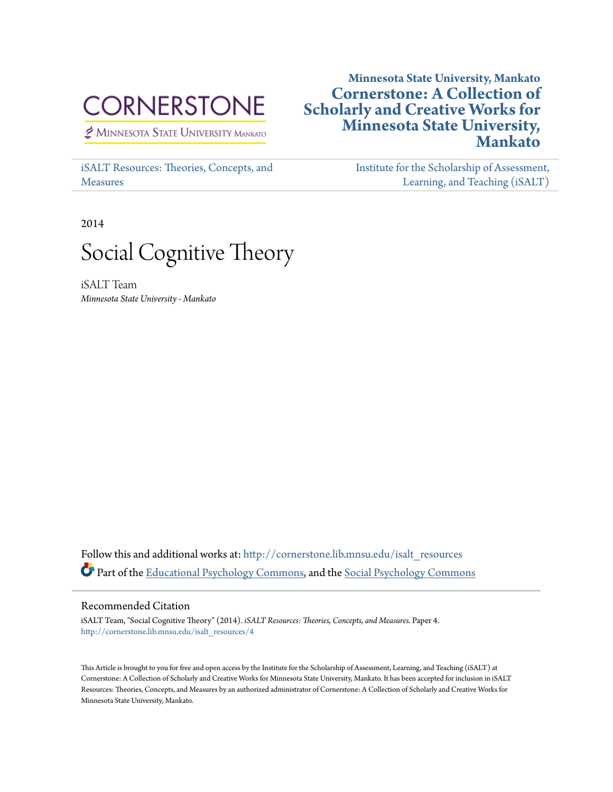# **CORNERSTONE**

MINNESOTA STATE UNIVERSITY MANKATO

[iSALT Resources: Theories, Concepts, and](http://cornerstone.lib.mnsu.edu/isalt_resources?utm_source=cornerstone.lib.mnsu.edu%2Fisalt_resources%2F4&utm_medium=PDF&utm_campaign=PDFCoverPages) [Measures](http://cornerstone.lib.mnsu.edu/isalt_resources?utm_source=cornerstone.lib.mnsu.edu%2Fisalt_resources%2F4&utm_medium=PDF&utm_campaign=PDFCoverPages)

## **Minnesota State University, Mankato [Cornerstone: A Collection of](http://cornerstone.lib.mnsu.edu?utm_source=cornerstone.lib.mnsu.edu%2Fisalt_resources%2F4&utm_medium=PDF&utm_campaign=PDFCoverPages) [Scholarly and Creative Works for](http://cornerstone.lib.mnsu.edu?utm_source=cornerstone.lib.mnsu.edu%2Fisalt_resources%2F4&utm_medium=PDF&utm_campaign=PDFCoverPages) [Minnesota State University,](http://cornerstone.lib.mnsu.edu?utm_source=cornerstone.lib.mnsu.edu%2Fisalt_resources%2F4&utm_medium=PDF&utm_campaign=PDFCoverPages) [Mankato](http://cornerstone.lib.mnsu.edu?utm_source=cornerstone.lib.mnsu.edu%2Fisalt_resources%2F4&utm_medium=PDF&utm_campaign=PDFCoverPages)**

[Institute for the Scholarship of Assessment,](http://cornerstone.lib.mnsu.edu/isalt?utm_source=cornerstone.lib.mnsu.edu%2Fisalt_resources%2F4&utm_medium=PDF&utm_campaign=PDFCoverPages) [Learning, and Teaching \(iSALT\)](http://cornerstone.lib.mnsu.edu/isalt?utm_source=cornerstone.lib.mnsu.edu%2Fisalt_resources%2F4&utm_medium=PDF&utm_campaign=PDFCoverPages)

2014



iSALT Team *Minnesota State University - Mankato*

Follow this and additional works at: [http://cornerstone.lib.mnsu.edu/isalt\\_resources](http://cornerstone.lib.mnsu.edu/isalt_resources?utm_source=cornerstone.lib.mnsu.edu%2Fisalt_resources%2F4&utm_medium=PDF&utm_campaign=PDFCoverPages) Part of the [Educational Psychology Commons,](http://network.bepress.com/hgg/discipline/798?utm_source=cornerstone.lib.mnsu.edu%2Fisalt_resources%2F4&utm_medium=PDF&utm_campaign=PDFCoverPages) and the [Social Psychology Commons](http://network.bepress.com/hgg/discipline/414?utm_source=cornerstone.lib.mnsu.edu%2Fisalt_resources%2F4&utm_medium=PDF&utm_campaign=PDFCoverPages)

#### Recommended Citation

iSALT Team, "Social Cognitive Theory" (2014). *iSALT Resources: Theories, Concepts, and Measures.* Paper 4. [http://cornerstone.lib.mnsu.edu/isalt\\_resources/4](http://cornerstone.lib.mnsu.edu/isalt_resources/4?utm_source=cornerstone.lib.mnsu.edu%2Fisalt_resources%2F4&utm_medium=PDF&utm_campaign=PDFCoverPages)

This Article is brought to you for free and open access by the Institute for the Scholarship of Assessment, Learning, and Teaching (iSALT) at Cornerstone: A Collection of Scholarly and Creative Works for Minnesota State University, Mankato. It has been accepted for inclusion in iSALT Resources: Theories, Concepts, and Measures by an authorized administrator of Cornerstone: A Collection of Scholarly and Creative Works for Minnesota State University, Mankato.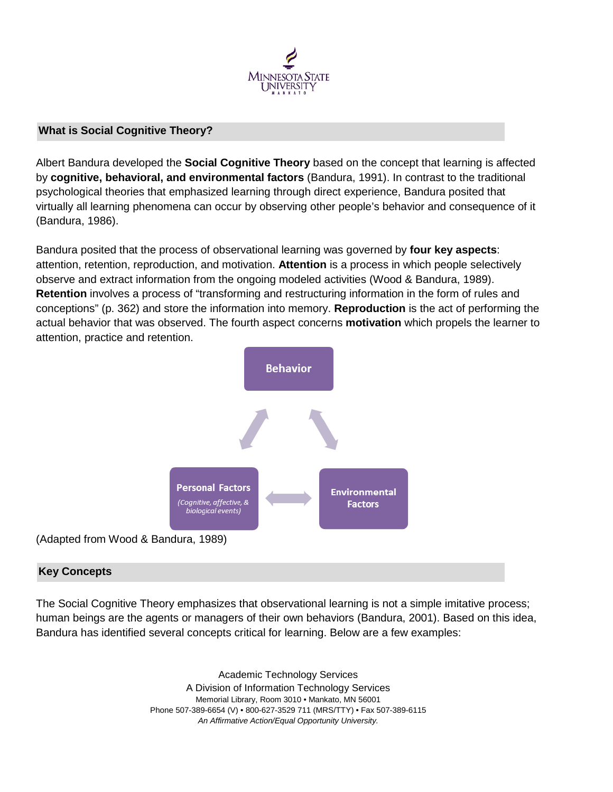

#### **What is Social Cognitive Theory?**

Albert Bandura developed the **Social Cognitive Theory** based on the concept that learning is affected by **cognitive, behavioral, and environmental factors** (Bandura, 1991). In contrast to the traditional psychological theories that emphasized learning through direct experience, Bandura posited that virtually all learning phenomena can occur by observing other people's behavior and consequence of it (Bandura, 1986).

Bandura posited that the process of observational learning was governed by **four key aspects**: attention, retention, reproduction, and motivation. **Attention** is a process in which people selectively observe and extract information from the ongoing modeled activities (Wood & Bandura, 1989). **Retention** involves a process of "transforming and restructuring information in the form of rules and conceptions" (p. 362) and store the information into memory. **Reproduction** is the act of performing the actual behavior that was observed. The fourth aspect concerns **motivation** which propels the learner to attention, practice and retention.



### **Key Concepts**

The Social Cognitive Theory emphasizes that observational learning is not a simple imitative process; human beings are the agents or managers of their own behaviors (Bandura, 2001). Based on this idea, Bandura has identified several concepts critical for learning. Below are a few examples:

> Academic Technology Services A Division of Information Technology Services Memorial Library, Room 3010 • Mankato, MN 56001 Phone 507-389-6654 (V) • 800-627-3529 711 (MRS/TTY) • Fax 507-389-6115 *An Affirmative Action/Equal Opportunity University.*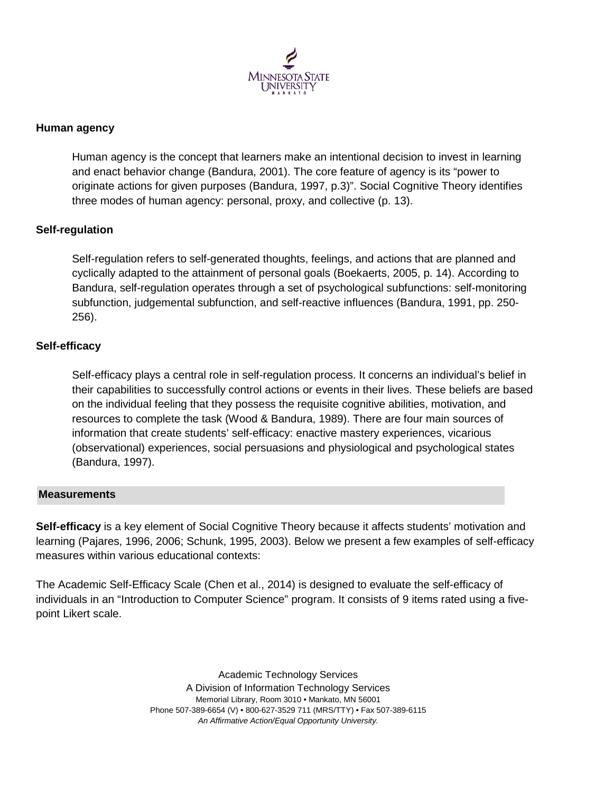

#### **Human agency**

Human agency is the concept that learners make an intentional decision to invest in learning and enact behavior change (Bandura, 2001). The core feature of agency is its "power to originate actions for given purposes (Bandura, 1997, p.3)". Social Cognitive Theory identifies three modes of human agency: personal, proxy, and collective (p. 13).

#### **Self-regulation**

Self-regulation refers to self-generated thoughts, feelings, and actions that are planned and cyclically adapted to the attainment of personal goals (Boekaerts, 2005, p. 14). According to Bandura, self-regulation operates through a set of psychological subfunctions: self-monitoring subfunction, judgemental subfunction, and self-reactive influences (Bandura, 1991, pp. 250- 256).

#### **Self-efficacy**

Self-efficacy plays a central role in self-regulation process. It concerns an individual's belief in their capabilities to successfully control actions or events in their lives. These beliefs are based on the individual feeling that they possess the requisite cognitive abilities, motivation, and resources to complete the task (Wood & Bandura, 1989). There are four main sources of information that create students' self-efficacy: enactive mastery experiences, vicarious (observational) experiences, social persuasions and physiological and psychological states (Bandura, 1997).

#### **Measurements**

**Self-efficacy** is a key element of Social Cognitive Theory because it affects students' motivation and learning (Pajares, 1996, 2006; Schunk, 1995, 2003). Below we present a few examples of self-efficacy measures within various educational contexts:

The Academic Self-Efficacy Scale (Chen et al., 2014) is designed to evaluate the self-efficacy of individuals in an "Introduction to Computer Science" program. It consists of 9 items rated using a fivepoint Likert scale.

> Academic Technology Services A Division of Information Technology Services Memorial Library, Room 3010 • Mankato, MN 56001 Phone 507-389-6654 (V) • 800-627-3529 711 (MRS/TTY) • Fax 507-389-6115 *An Affirmative Action/Equal Opportunity University.*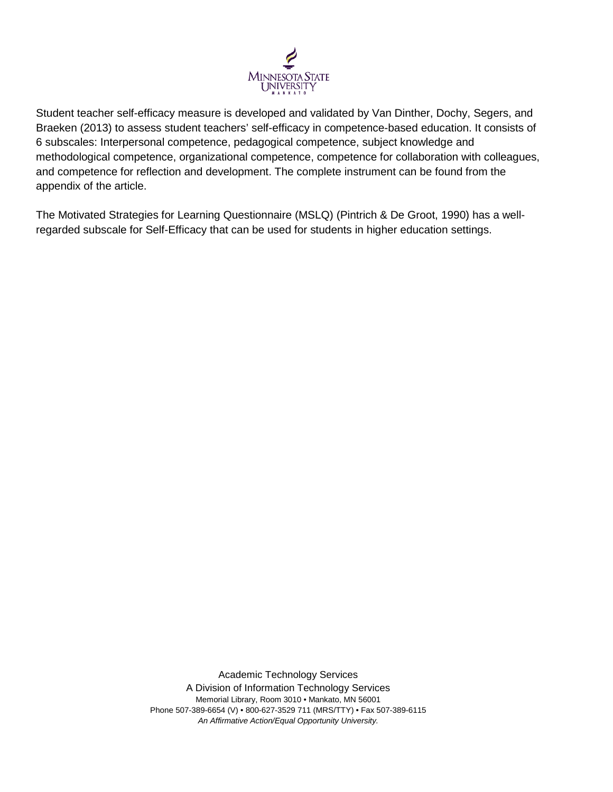

Student teacher self-efficacy measure is developed and validated by Van Dinther, Dochy, Segers, and Braeken (2013) to assess student teachers' self-efficacy in competence-based education. It consists of 6 subscales: Interpersonal competence, pedagogical competence, subject knowledge and methodological competence, organizational competence, competence for collaboration with colleagues, and competence for reflection and development. The complete instrument can be found from the appendix of the article.

[The Motivated Strategies for Learning Questionnaire \(MSLQ\)](http://search.proquest.com/psyctests/docview/1038217994/fulltextPDF/D552C886FE724DDBPQ/3?accountid=12259) (Pintrich & De Groot, 1990) has a wellregarded subscale for Self-Efficacy that can be used for students in higher education settings.

> Academic Technology Services A Division of Information Technology Services Memorial Library, Room 3010 • Mankato, MN 56001 Phone 507-389-6654 (V) • 800-627-3529 711 (MRS/TTY) • Fax 507-389-6115 *An Affirmative Action/Equal Opportunity University.*